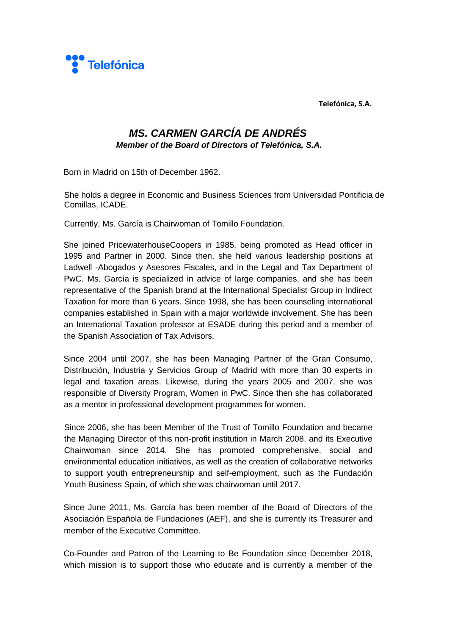

**Telefónica, S.A.** 

## *MS. CARMEN GARCÍA DE ANDRÉS*

*Member of the Board of Directors of Telefónica, S.A.* 

Born in Madrid on 15th of December 1962.

She holds a degree in Economic and Business Sciences from Universidad Pontificia de Comillas, ICADE.

Currently, Ms. García is Chairwoman of Tomillo Foundation.

She joined PricewaterhouseCoopers in 1985, being promoted as Head officer in 1995 and Partner in 2000. Since then, she held various leadership positions at Ladwell -Abogados y Asesores Fiscales, and in the Legal and Tax Department of PwC. Ms. García is specialized in advice of large companies, and she has been representative of the Spanish brand at the International Specialist Group in Indirect Taxation for more than 6 years. Since 1998, she has been counseling international companies established in Spain with a major worldwide involvement. She has been an International Taxation professor at ESADE during this period and a member of the Spanish Association of Tax Advisors.

Since 2004 until 2007, she has been Managing Partner of the Gran Consumo, Distribución, Industria y Servicios Group of Madrid with more than 30 experts in legal and taxation areas. Likewise, during the years 2005 and 2007, she was responsible of Diversity Program, Women in PwC. Since then she has collaborated as a mentor in professional development programmes for women.

Since 2006, she has been Member of the Trust of Tomillo Foundation and became the Managing Director of this non-profit institution in March 2008, and its Executive Chairwoman since 2014. She has promoted comprehensive, social and environmental education initiatives, as well as the creation of collaborative networks to support youth entrepreneurship and self-employment, such as the Fundación Youth Business Spain, of which she was chairwoman until 2017.

Since June 2011, Ms. García has been member of the Board of Directors of the Asociación Española de Fundaciones (AEF), and she is currently its Treasurer and member of the Executive Committee.

Co-Founder and Patron of the Learning to Be Foundation since December 2018, which mission is to support those who educate and is currently a member of the